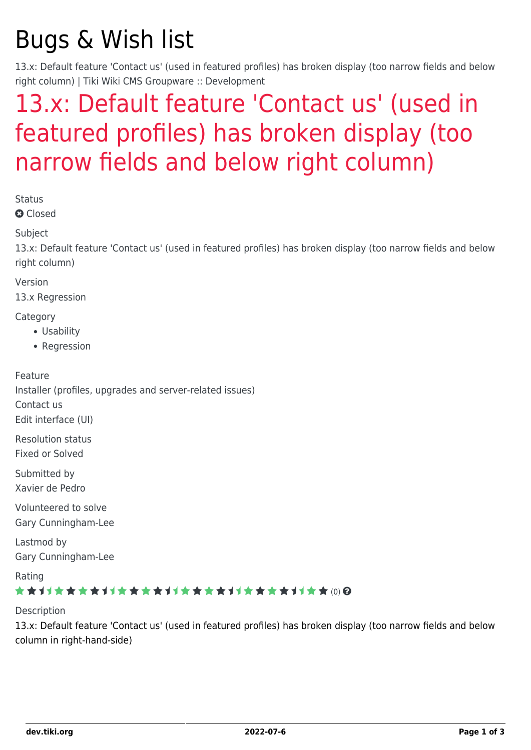# Bugs & Wish list

13.x: Default feature 'Contact us' (used in featured profiles) has broken display (too narrow fields and below right column) | Tiki Wiki CMS Groupware :: Development

## [13.x: Default feature 'Contact us' \(used in](https://dev.tiki.org/item5372-13-x-Default-feature-Contact-us-used-in-featured-profiles-has-broken-display-too-narrow-fields-and-below-right-column) [featured profiles\) has broken display \(too](https://dev.tiki.org/item5372-13-x-Default-feature-Contact-us-used-in-featured-profiles-has-broken-display-too-narrow-fields-and-below-right-column) [narrow fields and below right column\)](https://dev.tiki.org/item5372-13-x-Default-feature-Contact-us-used-in-featured-profiles-has-broken-display-too-narrow-fields-and-below-right-column)

Status

**Q** Closed

**Subject** 

13.x: Default feature 'Contact us' (used in featured profiles) has broken display (too narrow fields and below right column)

Version

13.x Regression

**Category** 

- Usability
- Regression

Feature Installer (profiles, upgrades and server-related issues) Contact us

Edit interface (UI)

Resolution status Fixed or Solved

Submitted by Xavier de Pedro

Volunteered to solve Gary Cunningham-Lee

Lastmod by Gary Cunningham-Lee

Rating

#### ★★11★★★★11★★★★11★★★★11★★★★+11★★ @@

Description

13.x: Default feature 'Contact us' (used in featured profiles) has broken display (too narrow fields and below column in right-hand-side)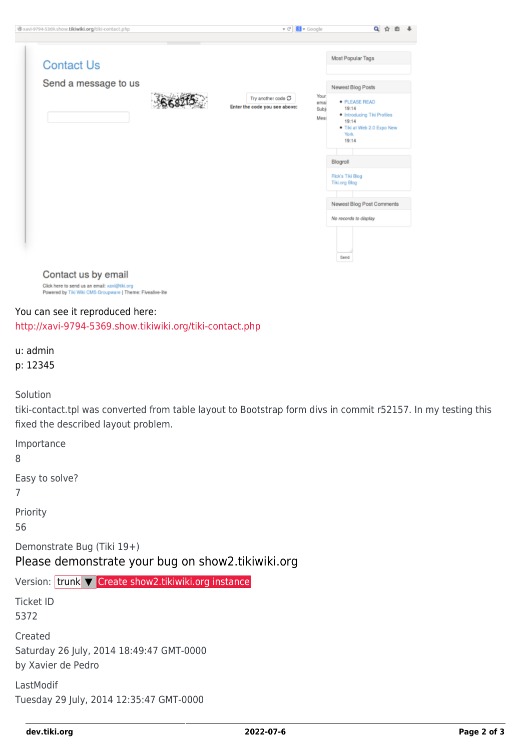| @xavi-9794-5369.show.tikiwiki.org/tiki-contact.php                                                                                 | $\mathbf{v} \in \mathbb{R}$                         | <b>R</b> v Google            | Q                                                                                                                                      |
|------------------------------------------------------------------------------------------------------------------------------------|-----------------------------------------------------|------------------------------|----------------------------------------------------------------------------------------------------------------------------------------|
| <b>Contact Us</b><br>Send a message to us                                                                                          | Try another code C<br>Enter the code you see above: | Your<br>emai<br>Sub)<br>Mest | Most Popular Tags<br>Newest Blog Posts<br>· PLEASE READ<br>19:14<br>. Introducing Tiki Profiles<br>19:14<br>. Tiki at Web 2.0 Expo New |
|                                                                                                                                    |                                                     |                              | <b>York</b><br>19:14<br>Blogroll<br>Rick's Tiki Blog<br><b>Tiki.org Blog</b><br>Newest Blog Post Comments                              |
|                                                                                                                                    |                                                     |                              | No records to display<br>Send                                                                                                          |
| Contact us by email<br>Click here to send us an email: xavi@tiki.org<br>Powered by Tiki Wiki CMS Groupware   Theme: Fivealive-lite |                                                     |                              |                                                                                                                                        |

#### You can see it reproduced here: <http://xavi-9794-5369.show.tikiwiki.org/tiki-contact.php>

u: admin p: 12345

Solution

tiki-contact.tpl was converted from table layout to Bootstrap form divs in commit r52157. In my testing this fixed the described layout problem.

Importance

8

Easy to solve?

7

Priority

56

Demonstrate Bug (Tiki 19+)

Please demonstrate your bug on show2.tikiwiki.org

Version: trunk ▼ [Create show2.tikiwiki.org instance](#page--1-0)

Ticket ID 5372

Created Saturday 26 July, 2014 18:49:47 GMT-0000 by Xavier de Pedro

LastModif Tuesday 29 July, 2014 12:35:47 GMT-0000